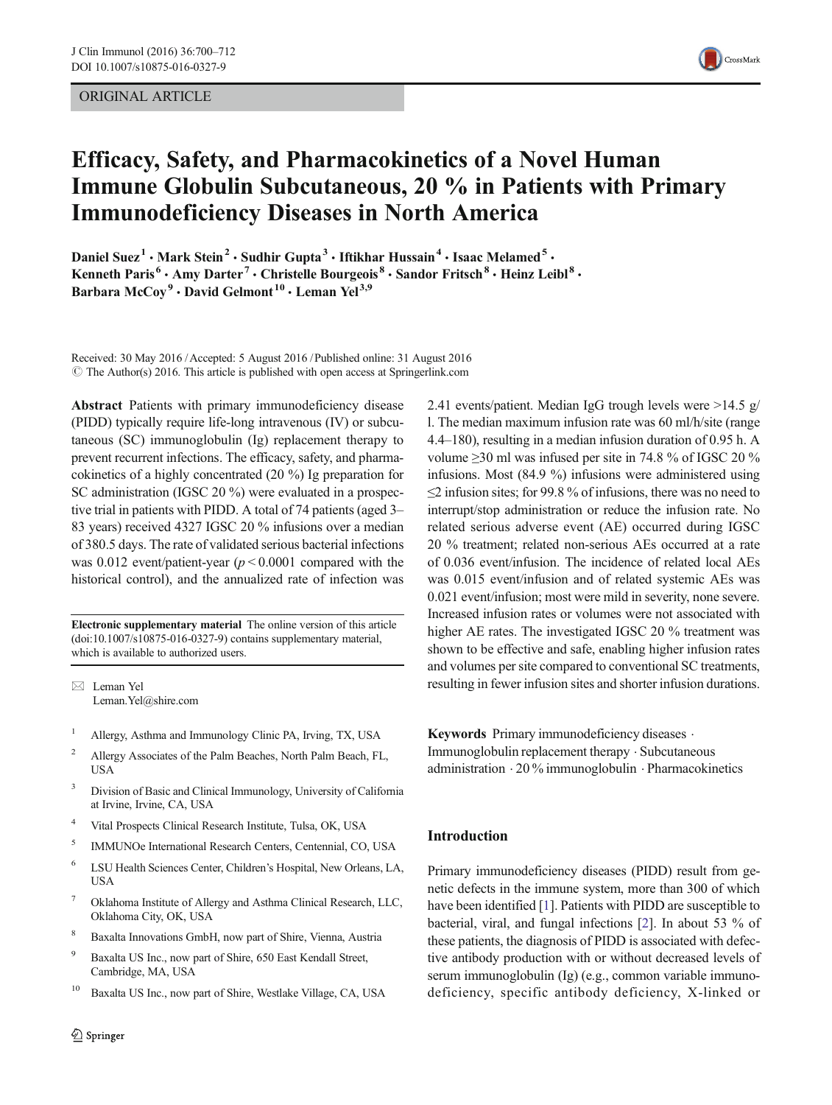# ORIGINAL ARTICLE



# Efficacy, Safety, and Pharmacokinetics of a Novel Human Immune Globulin Subcutaneous, 20 % in Patients with Primary Immunodeficiency Diseases in North America

Daniel Suez<sup>1</sup> • Mark Stein<sup>2</sup> • Sudhir Gupta<sup>3</sup> • Iftikhar Hussain<sup>4</sup> • Isaac Melamed<sup>5</sup> • Kenneth Paris<sup>6</sup> · Amy Darter<sup>7</sup> · Christelle Bourgeois<sup>8</sup> · Sandor Fritsch<sup>8</sup> · Heinz Leibl<sup>8</sup> · Barbara McCoy<sup>9</sup> · David Gelmont<sup>10</sup> · Leman Yel<sup>3,9</sup>

Received: 30 May 2016 /Accepted: 5 August 2016 /Published online: 31 August 2016  $\circ$  The Author(s) 2016. This article is published with open access at Springerlink.com

Abstract Patients with primary immunodeficiency disease (PIDD) typically require life-long intravenous (IV) or subcutaneous (SC) immunoglobulin (Ig) replacement therapy to prevent recurrent infections. The efficacy, safety, and pharmacokinetics of a highly concentrated (20 %) Ig preparation for SC administration (IGSC 20 %) were evaluated in a prospective trial in patients with PIDD. A total of 74 patients (aged 3– 83 years) received 4327 IGSC 20 % infusions over a median of 380.5 days. The rate of validated serious bacterial infections was 0.012 event/patient-year ( $p < 0.0001$  compared with the historical control), and the annualized rate of infection was

Electronic supplementary material The online version of this article (doi[:10.1007/s10875-016-0327-9](http://dx.doi.org/10.1007/s10875-016-0327-9)) contains supplementary material, which is available to authorized users.

 $\boxtimes$  Leman Yel Leman.Yel@shire.com

- <sup>1</sup> Allergy, Asthma and Immunology Clinic PA, Irving, TX, USA
- <sup>2</sup> Allergy Associates of the Palm Beaches, North Palm Beach, FL, USA
- <sup>3</sup> Division of Basic and Clinical Immunology, University of California at Irvine, Irvine, CA, USA
- <sup>4</sup> Vital Prospects Clinical Research Institute, Tulsa, OK, USA
- <sup>5</sup> IMMUNOe International Research Centers, Centennial, CO, USA
- <sup>6</sup> LSU Health Sciences Center, Children's Hospital, New Orleans, LA, **USA**
- <sup>7</sup> Oklahoma Institute of Allergy and Asthma Clinical Research, LLC, Oklahoma City, OK, USA
- <sup>8</sup> Baxalta Innovations GmbH, now part of Shire, Vienna, Austria
- <sup>9</sup> Baxalta US Inc., now part of Shire, 650 East Kendall Street, Cambridge, MA, USA
- <sup>10</sup> Baxalta US Inc., now part of Shire, Westlake Village, CA, USA

2.41 events/patient. Median IgG trough levels were >14.5 g/ l. The median maximum infusion rate was 60 ml/h/site (range 4.4–180), resulting in a median infusion duration of 0.95 h. A volume ≥30 ml was infused per site in 74.8 % of IGSC 20 % infusions. Most (84.9 %) infusions were administered using  $\leq$  2 infusion sites; for 99.8 % of infusions, there was no need to interrupt/stop administration or reduce the infusion rate. No related serious adverse event (AE) occurred during IGSC 20 % treatment; related non-serious AEs occurred at a rate of 0.036 event/infusion. The incidence of related local AEs was 0.015 event/infusion and of related systemic AEs was 0.021 event/infusion; most were mild in severity, none severe. Increased infusion rates or volumes were not associated with higher AE rates. The investigated IGSC 20 % treatment was shown to be effective and safe, enabling higher infusion rates and volumes per site compared to conventional SC treatments, resulting in fewer infusion sites and shorter infusion durations.

Keywords Primary immunodeficiency diseases . Immunoglobulin replacement therapy . Subcutaneous administration . 20 % immunoglobulin . Pharmacokinetics

## Introduction

Primary immunodeficiency diseases (PIDD) result from genetic defects in the immune system, more than 300 of which have been identified [\[1\]](#page-11-0). Patients with PIDD are susceptible to bacterial, viral, and fungal infections [[2\]](#page-11-0). In about 53 % of these patients, the diagnosis of PIDD is associated with defective antibody production with or without decreased levels of serum immunoglobulin (Ig) (e.g., common variable immunodeficiency, specific antibody deficiency, X-linked or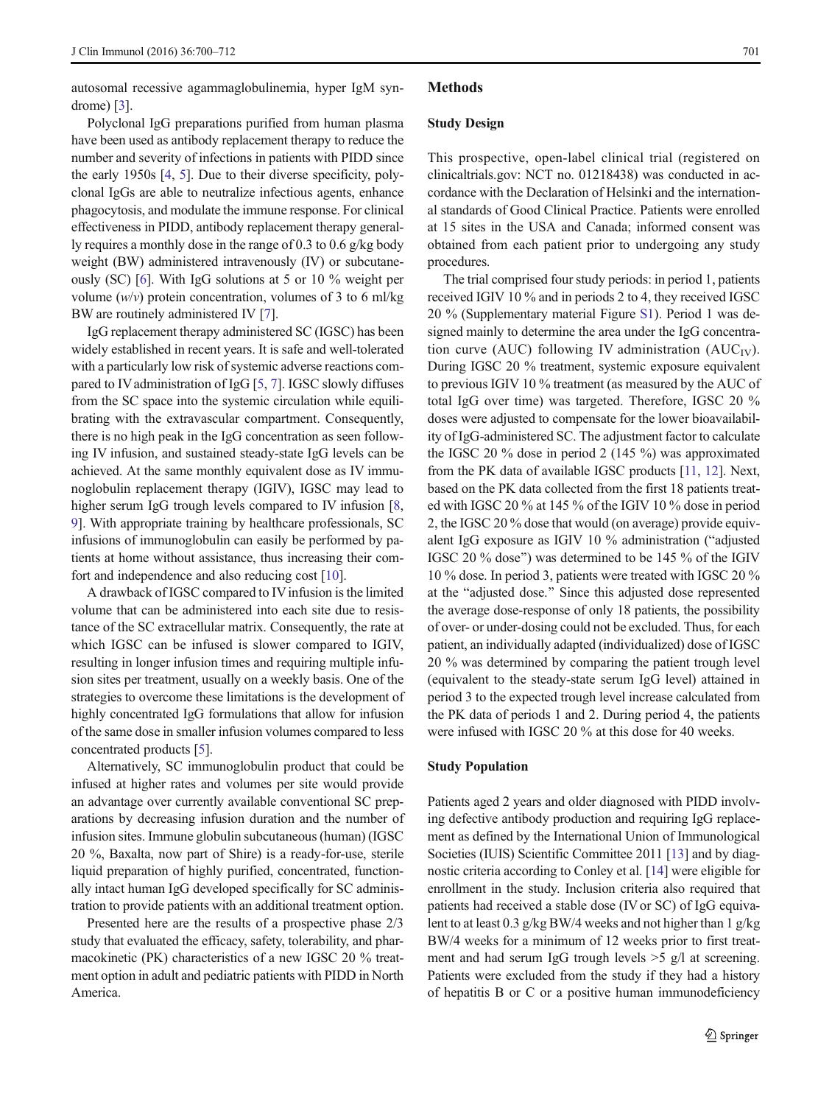<span id="page-1-0"></span>autosomal recessive agammaglobulinemia, hyper IgM syndrome) [[3\]](#page-11-0).

Polyclonal IgG preparations purified from human plasma have been used as antibody replacement therapy to reduce the number and severity of infections in patients with PIDD since the early 1950s [\[4,](#page-11-0) [5](#page-11-0)]. Due to their diverse specificity, polyclonal IgGs are able to neutralize infectious agents, enhance phagocytosis, and modulate the immune response. For clinical effectiveness in PIDD, antibody replacement therapy generally requires a monthly dose in the range of 0.3 to 0.6 g/kg body weight (BW) administered intravenously (IV) or subcutaneously (SC) [\[6\]](#page-11-0). With IgG solutions at 5 or 10 % weight per volume  $(w/v)$  protein concentration, volumes of 3 to 6 ml/kg BW are routinely administered IV [\[7\]](#page-11-0).

IgG replacement therapy administered SC (IGSC) has been widely established in recent years. It is safe and well-tolerated with a particularly low risk of systemic adverse reactions com-pared to IV administration of IgG [\[5](#page-11-0), [7\]](#page-11-0). IGSC slowly diffuses from the SC space into the systemic circulation while equilibrating with the extravascular compartment. Consequently, there is no high peak in the IgG concentration as seen following IV infusion, and sustained steady-state IgG levels can be achieved. At the same monthly equivalent dose as IV immunoglobulin replacement therapy (IGIV), IGSC may lead to higher serum IgG trough levels compared to IV infusion [[8,](#page-11-0) [9\]](#page-11-0). With appropriate training by healthcare professionals, SC infusions of immunoglobulin can easily be performed by patients at home without assistance, thus increasing their comfort and independence and also reducing cost [[10\]](#page-11-0).

A drawback of IGSC compared to IV infusion is the limited volume that can be administered into each site due to resistance of the SC extracellular matrix. Consequently, the rate at which IGSC can be infused is slower compared to IGIV, resulting in longer infusion times and requiring multiple infusion sites per treatment, usually on a weekly basis. One of the strategies to overcome these limitations is the development of highly concentrated IgG formulations that allow for infusion of the same dose in smaller infusion volumes compared to less concentrated products [\[5\]](#page-11-0).

Alternatively, SC immunoglobulin product that could be infused at higher rates and volumes per site would provide an advantage over currently available conventional SC preparations by decreasing infusion duration and the number of infusion sites. Immune globulin subcutaneous (human) (IGSC 20 %, Baxalta, now part of Shire) is a ready-for-use, sterile liquid preparation of highly purified, concentrated, functionally intact human IgG developed specifically for SC administration to provide patients with an additional treatment option.

Presented here are the results of a prospective phase 2/3 study that evaluated the efficacy, safety, tolerability, and pharmacokinetic (PK) characteristics of a new IGSC 20 % treatment option in adult and pediatric patients with PIDD in North America.

# Methods

## Study Design

This prospective, open-label clinical trial (registered on clinicaltrials.gov: NCT no. 01218438) was conducted in accordance with the Declaration of Helsinki and the international standards of Good Clinical Practice. Patients were enrolled at 15 sites in the USA and Canada; informed consent was obtained from each patient prior to undergoing any study procedures.

The trial comprised four study periods: in period 1, patients received IGIV 10 % and in periods 2 to 4, they received IGSC 20 % (Supplementary material Figure S1). Period 1 was designed mainly to determine the area under the IgG concentration curve (AUC) following IV administration (AUC<sub>IV</sub>). During IGSC 20 % treatment, systemic exposure equivalent to previous IGIV 10 % treatment (as measured by the AUC of total IgG over time) was targeted. Therefore, IGSC 20 % doses were adjusted to compensate for the lower bioavailability of IgG-administered SC. The adjustment factor to calculate the IGSC 20 % dose in period 2 (145 %) was approximated from the PK data of available IGSC products [[11](#page-11-0), [12](#page-11-0)]. Next, based on the PK data collected from the first 18 patients treated with IGSC 20 % at 145 % of the IGIV 10 % dose in period 2, the IGSC 20 % dose that would (on average) provide equivalent IgG exposure as IGIV  $10\%$  administration ("adjusted IGSC 20 % dose^) was determined to be 145 % of the IGIV 10 % dose. In period 3, patients were treated with IGSC 20 % at the "adjusted dose." Since this adjusted dose represented the average dose-response of only 18 patients, the possibility of over- or under-dosing could not be excluded. Thus, for each patient, an individually adapted (individualized) dose of IGSC 20 % was determined by comparing the patient trough level (equivalent to the steady-state serum IgG level) attained in period 3 to the expected trough level increase calculated from the PK data of periods 1 and 2. During period 4, the patients were infused with IGSC 20 % at this dose for 40 weeks.

## Study Population

Patients aged 2 years and older diagnosed with PIDD involving defective antibody production and requiring IgG replacement as defined by the International Union of Immunological Societies (IUIS) Scientific Committee 2011 [\[13](#page-11-0)] and by diagnostic criteria according to Conley et al. [[14](#page-11-0)] were eligible for enrollment in the study. Inclusion criteria also required that patients had received a stable dose (IV or SC) of IgG equivalent to at least 0.3 g/kg BW/4 weeks and not higher than 1 g/kg BW/4 weeks for a minimum of 12 weeks prior to first treatment and had serum IgG trough levels >5 g/l at screening. Patients were excluded from the study if they had a history of hepatitis B or C or a positive human immunodeficiency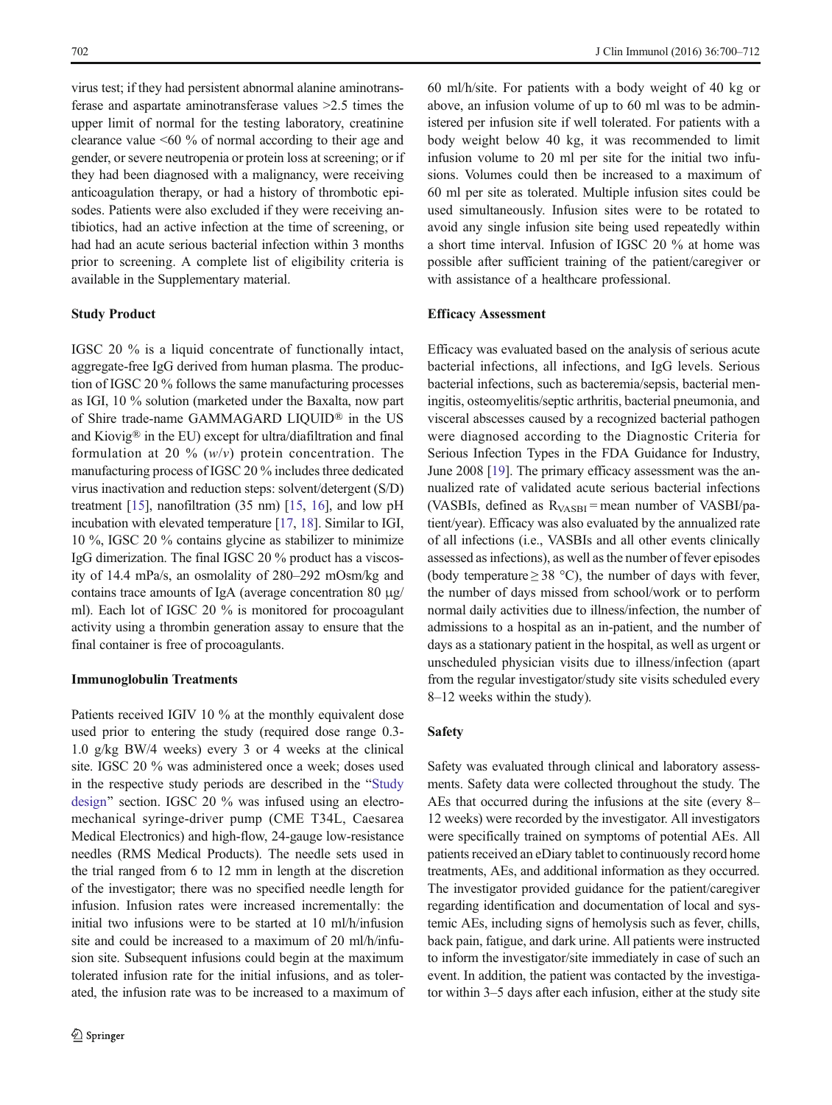virus test; if they had persistent abnormal alanine aminotransferase and aspartate aminotransferase values >2.5 times the upper limit of normal for the testing laboratory, creatinine clearance value <60 % of normal according to their age and gender, or severe neutropenia or protein loss at screening; or if they had been diagnosed with a malignancy, were receiving anticoagulation therapy, or had a history of thrombotic episodes. Patients were also excluded if they were receiving antibiotics, had an active infection at the time of screening, or had had an acute serious bacterial infection within 3 months prior to screening. A complete list of eligibility criteria is available in the Supplementary material.

# Study Product

IGSC 20 % is a liquid concentrate of functionally intact, aggregate-free IgG derived from human plasma. The production of IGSC 20 % follows the same manufacturing processes as IGI, 10 % solution (marketed under the Baxalta, now part of Shire trade-name GAMMAGARD LIQUID® in the US and Kiovig® in the EU) except for ultra/diafiltration and final formulation at 20 %  $(w/v)$  protein concentration. The manufacturing process of IGSC 20 % includes three dedicated virus inactivation and reduction steps: solvent/detergent (S/D) treatment [[15\]](#page-11-0), nanofiltration (35 nm) [\[15,](#page-11-0) [16](#page-11-0)], and low pH incubation with elevated temperature [\[17,](#page-11-0) [18\]](#page-11-0). Similar to IGI, 10 %, IGSC 20 % contains glycine as stabilizer to minimize IgG dimerization. The final IGSC 20 % product has a viscosity of 14.4 mPa/s, an osmolality of 280–292 mOsm/kg and contains trace amounts of IgA (average concentration 80 μg/ ml). Each lot of IGSC 20 % is monitored for procoagulant activity using a thrombin generation assay to ensure that the final container is free of procoagulants.

#### Immunoglobulin Treatments

Patients received IGIV 10 % at the monthly equivalent dose used prior to entering the study (required dose range 0.3- 1.0 g/kg BW/4 weeks) every 3 or 4 weeks at the clinical site. IGSC 20 % was administered once a week; doses used in the respective study periods are described in the "[Study](#page-1-0) [design](#page-1-0)" section. IGSC 20 % was infused using an electromechanical syringe-driver pump (CME T34L, Caesarea Medical Electronics) and high-flow, 24-gauge low-resistance needles (RMS Medical Products). The needle sets used in the trial ranged from 6 to 12 mm in length at the discretion of the investigator; there was no specified needle length for infusion. Infusion rates were increased incrementally: the initial two infusions were to be started at 10 ml/h/infusion site and could be increased to a maximum of 20 ml/h/infusion site. Subsequent infusions could begin at the maximum tolerated infusion rate for the initial infusions, and as tolerated, the infusion rate was to be increased to a maximum of

60 ml/h/site. For patients with a body weight of 40 kg or above, an infusion volume of up to 60 ml was to be administered per infusion site if well tolerated. For patients with a body weight below 40 kg, it was recommended to limit infusion volume to 20 ml per site for the initial two infusions. Volumes could then be increased to a maximum of 60 ml per site as tolerated. Multiple infusion sites could be used simultaneously. Infusion sites were to be rotated to avoid any single infusion site being used repeatedly within a short time interval. Infusion of IGSC 20 % at home was possible after sufficient training of the patient/caregiver or with assistance of a healthcare professional.

# Efficacy Assessment

Efficacy was evaluated based on the analysis of serious acute bacterial infections, all infections, and IgG levels. Serious bacterial infections, such as bacteremia/sepsis, bacterial meningitis, osteomyelitis/septic arthritis, bacterial pneumonia, and visceral abscesses caused by a recognized bacterial pathogen were diagnosed according to the Diagnostic Criteria for Serious Infection Types in the FDA Guidance for Industry, June 2008 [\[19\]](#page-11-0). The primary efficacy assessment was the annualized rate of validated acute serious bacterial infections (VASBIs, defined as  $R_{VASBI}$  = mean number of VASBI/patient/year). Efficacy was also evaluated by the annualized rate of all infections (i.e., VASBIs and all other events clinically assessed as infections), as well as the number of fever episodes (body temperature  $\geq$  38 °C), the number of days with fever, the number of days missed from school/work or to perform normal daily activities due to illness/infection, the number of admissions to a hospital as an in-patient, and the number of days as a stationary patient in the hospital, as well as urgent or unscheduled physician visits due to illness/infection (apart from the regular investigator/study site visits scheduled every 8–12 weeks within the study).

# Safety

Safety was evaluated through clinical and laboratory assessments. Safety data were collected throughout the study. The AEs that occurred during the infusions at the site (every 8– 12 weeks) were recorded by the investigator. All investigators were specifically trained on symptoms of potential AEs. All patients received an eDiary tablet to continuously record home treatments, AEs, and additional information as they occurred. The investigator provided guidance for the patient/caregiver regarding identification and documentation of local and systemic AEs, including signs of hemolysis such as fever, chills, back pain, fatigue, and dark urine. All patients were instructed to inform the investigator/site immediately in case of such an event. In addition, the patient was contacted by the investigator within 3–5 days after each infusion, either at the study site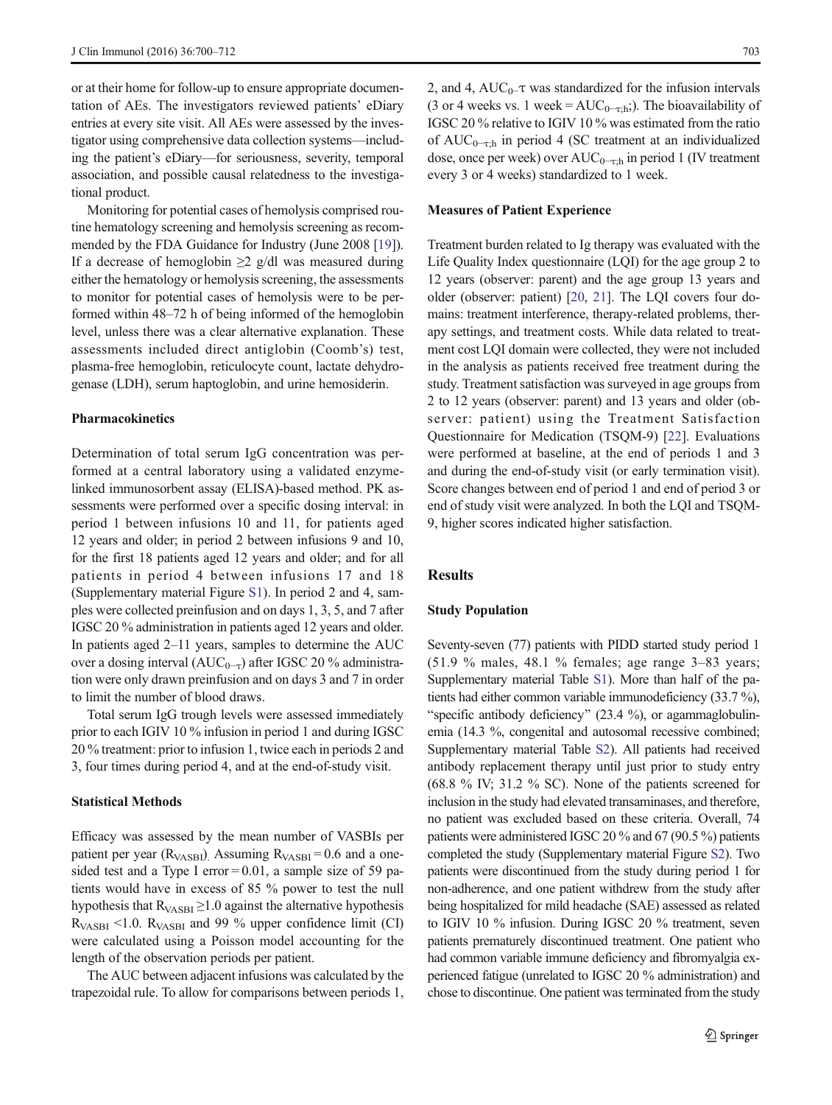or at their home for follow-up to ensure appropriate documentation of AEs. The investigators reviewed patients' eDiary entries at every site visit. All AEs were assessed by the investigator using comprehensive data collection systems—including the patient's eDiary—for seriousness, severity, temporal association, and possible causal relatedness to the investigational product.

Monitoring for potential cases of hemolysis comprised routine hematology screening and hemolysis screening as recommended by the FDA Guidance for Industry (June 2008 [[19](#page-11-0)]). If a decrease of hemoglobin  $\geq 2$  g/dl was measured during either the hematology or hemolysis screening, the assessments to monitor for potential cases of hemolysis were to be performed within 48–72 h of being informed of the hemoglobin level, unless there was a clear alternative explanation. These assessments included direct antiglobin (Coomb's) test, plasma-free hemoglobin, reticulocyte count, lactate dehydrogenase (LDH), serum haptoglobin, and urine hemosiderin.

## Pharmacokinetics

Determination of total serum IgG concentration was performed at a central laboratory using a validated enzymelinked immunosorbent assay (ELISA)-based method. PK assessments were performed over a specific dosing interval: in period 1 between infusions 10 and 11, for patients aged 12 years and older; in period 2 between infusions 9 and 10, for the first 18 patients aged 12 years and older; and for all patients in period 4 between infusions 17 and 18 (Supplementary material Figure S1). In period 2 and 4, samples were collected preinfusion and on days 1, 3, 5, and 7 after IGSC 20 % administration in patients aged 12 years and older. In patients aged 2–11 years, samples to determine the AUC over a dosing interval ( $AUC_{0-τ}$ ) after IGSC 20 % administration were only drawn preinfusion and on days 3 and 7 in order to limit the number of blood draws.

Total serum IgG trough levels were assessed immediately prior to each IGIV 10 % infusion in period 1 and during IGSC 20 % treatment: prior to infusion 1, twice each in periods 2 and 3, four times during period 4, and at the end-of-study visit.

# Statistical Methods

Efficacy was assessed by the mean number of VASBIs per patient per year ( $R_{VASBI}$ ). Assuming  $R_{VASBI} = 0.6$  and a onesided test and a Type I error =  $0.01$ , a sample size of 59 patients would have in excess of 85 % power to test the null hypothesis that  $R_{VASBI} \geq 1.0$  against the alternative hypothesis  $R_{VASBI}$  <1.0.  $R_{VASBI}$  and 99 % upper confidence limit (CI) were calculated using a Poisson model accounting for the length of the observation periods per patient.

The AUC between adjacent infusions was calculated by the trapezoidal rule. To allow for comparisons between periods 1, 2, and 4, AUC<sub>0</sub> $-$ τ was standardized for the infusion intervals (3 or 4 weeks vs. 1 week =  $AUC_{0-r}$ ;). The bioavailability of IGSC 20 % relative to IGIV 10 % was estimated from the ratio of AUC<sub>0-τ;h</sub> in period 4 (SC treatment at an individualized dose, once per week) over  $AUC_{0-\tau;h}$  in period 1 (IV treatment every 3 or 4 weeks) standardized to 1 week.

#### Measures of Patient Experience

Treatment burden related to Ig therapy was evaluated with the Life Quality Index questionnaire (LQI) for the age group 2 to 12 years (observer: parent) and the age group 13 years and older (observer: patient) [[20,](#page-11-0) [21](#page-11-0)]. The LQI covers four domains: treatment interference, therapy-related problems, therapy settings, and treatment costs. While data related to treatment cost LQI domain were collected, they were not included in the analysis as patients received free treatment during the study. Treatment satisfaction was surveyed in age groups from 2 to 12 years (observer: parent) and 13 years and older (observer: patient) using the Treatment Satisfaction Questionnaire for Medication (TSQM-9) [\[22](#page-12-0)]. Evaluations were performed at baseline, at the end of periods 1 and 3 and during the end-of-study visit (or early termination visit). Score changes between end of period 1 and end of period 3 or end of study visit were analyzed. In both the LQI and TSQM-9, higher scores indicated higher satisfaction.

## Results

#### Study Population

Seventy-seven (77) patients with PIDD started study period 1 (51.9 % males, 48.1 % females; age range 3–83 years; Supplementary material Table S1). More than half of the patients had either common variable immunodeficiency (33.7 %), "specific antibody deficiency" (23.4 %), or agammaglobulinemia (14.3 %, congenital and autosomal recessive combined; Supplementary material Table S2). All patients had received antibody replacement therapy until just prior to study entry (68.8 % IV; 31.2 % SC). None of the patients screened for inclusion in the study had elevated transaminases, and therefore, no patient was excluded based on these criteria. Overall, 74 patients were administered IGSC 20 % and 67 (90.5 %) patients completed the study (Supplementary material Figure S2). Two patients were discontinued from the study during period 1 for non-adherence, and one patient withdrew from the study after being hospitalized for mild headache (SAE) assessed as related to IGIV 10 % infusion. During IGSC 20 % treatment, seven patients prematurely discontinued treatment. One patient who had common variable immune deficiency and fibromyalgia experienced fatigue (unrelated to IGSC 20 % administration) and chose to discontinue. One patient was terminated from the study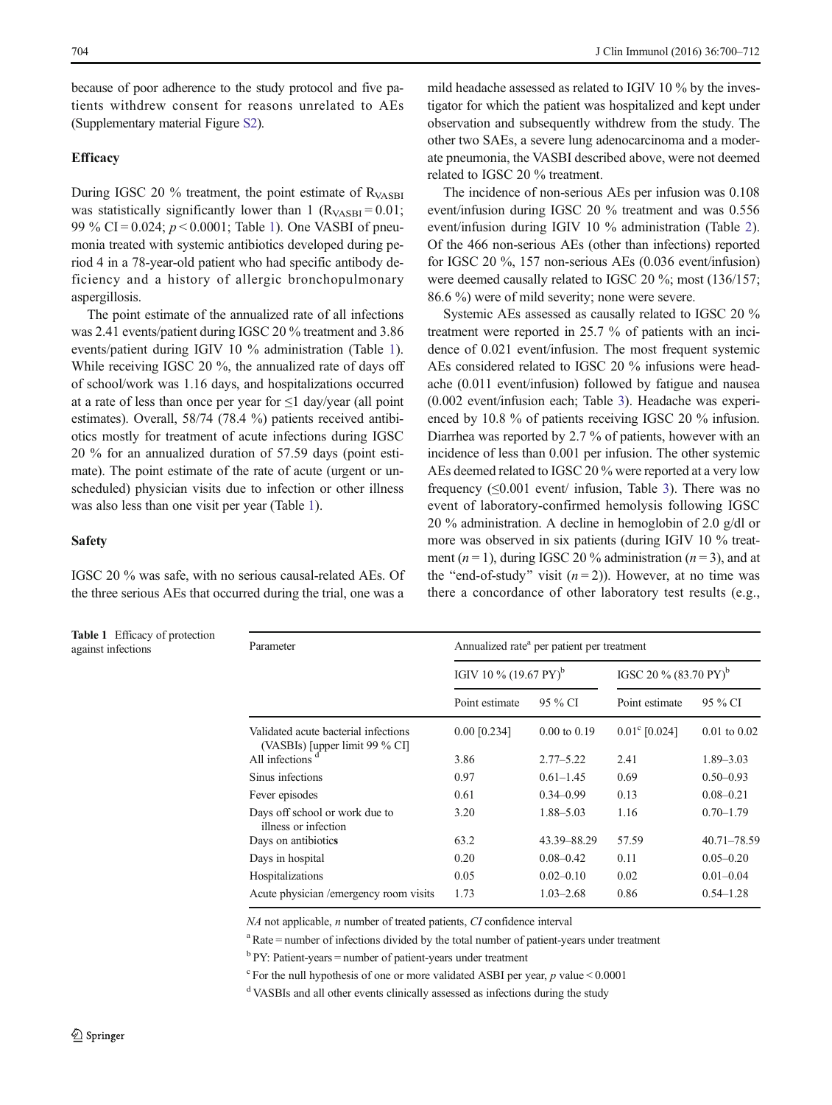because of poor adherence to the study protocol and five patients withdrew consent for reasons unrelated to AEs (Supplementary material Figure S2).

# **Efficacy**

During IGSC 20 % treatment, the point estimate of R<sub>VASBI</sub> was statistically significantly lower than 1 ( $R_{VASBI} = 0.01$ ; 99 % CI = 0.024;  $p < 0.0001$ ; Table 1). One VASBI of pneumonia treated with systemic antibiotics developed during period 4 in a 78-year-old patient who had specific antibody deficiency and a history of allergic bronchopulmonary aspergillosis.

The point estimate of the annualized rate of all infections was 2.41 events/patient during IGSC 20 % treatment and 3.86 events/patient during IGIV 10 % administration (Table 1). While receiving IGSC 20 %, the annualized rate of days off of school/work was 1.16 days, and hospitalizations occurred at a rate of less than once per year for  $\leq 1$  day/year (all point estimates). Overall, 58/74 (78.4 %) patients received antibiotics mostly for treatment of acute infections during IGSC 20 % for an annualized duration of 57.59 days (point estimate). The point estimate of the rate of acute (urgent or unscheduled) physician visits due to infection or other illness was also less than one visit per year (Table 1).

# Safety

IGSC 20 % was safe, with no serious causal-related AEs. Of the three serious AEs that occurred during the trial, one was a

Table 1 Efficacy of protection

mild headache assessed as related to IGIV 10 % by the investigator for which the patient was hospitalized and kept under observation and subsequently withdrew from the study. The other two SAEs, a severe lung adenocarcinoma and a moderate pneumonia, the VASBI described above, were not deemed related to IGSC 20 % treatment.

The incidence of non-serious AEs per infusion was 0.108 event/infusion during IGSC 20 % treatment and was 0.556 event/infusion during IGIV 10 % administration (Table [2\)](#page-5-0). Of the 466 non-serious AEs (other than infections) reported for IGSC 20 %, 157 non-serious AEs (0.036 event/infusion) were deemed causally related to IGSC 20 %; most (136/157; 86.6 %) were of mild severity; none were severe.

Systemic AEs assessed as causally related to IGSC 20 % treatment were reported in 25.7 % of patients with an incidence of 0.021 event/infusion. The most frequent systemic AEs considered related to IGSC 20 % infusions were headache (0.011 event/infusion) followed by fatigue and nausea (0.002 event/infusion each; Table [3](#page-6-0)). Headache was experienced by 10.8 % of patients receiving IGSC 20 % infusion. Diarrhea was reported by 2.7 % of patients, however with an incidence of less than 0.001 per infusion. The other systemic AEs deemed related to IGSC 20 % were reported at a very low frequency  $(\leq 0.001$  event/ infusion, Table [3\)](#page-6-0). There was no event of laboratory-confirmed hemolysis following IGSC 20 % administration. A decline in hemoglobin of 2.0 g/dl or more was observed in six patients (during IGIV 10 % treatment ( $n = 1$ ), during IGSC 20 % administration ( $n = 3$ ), and at the "end-of-study" visit  $(n = 2)$ ). However, at no time was there a concordance of other laboratory test results (e.g.,

| <b>Table 1</b> Efficacy of protection<br>against infections | Parameter                                                                | Annualized rate <sup>a</sup> per patient per treatment |                         |                                  |                  |  |
|-------------------------------------------------------------|--------------------------------------------------------------------------|--------------------------------------------------------|-------------------------|----------------------------------|------------------|--|
|                                                             |                                                                          | IGIV 10 % $(19.67 \text{ PY})^b$                       |                         | IGSC 20 % $(83.70 \text{ PY})^6$ |                  |  |
|                                                             |                                                                          | Point estimate                                         | 95 % CI                 | Point estimate                   | 95 % CI          |  |
|                                                             | Validated acute bacterial infections<br>(VASBIs) [upper limit 99 $%$ CI] | $0.00$ [0.234]                                         | $0.00 \text{ to } 0.19$ | $0.01^{\circ}$ [0.024]           | $0.01$ to $0.02$ |  |
|                                                             | All infections <sup>d</sup>                                              | 3.86                                                   | $2.77 - 5.22$           | 2.41                             | $1.89 - 3.03$    |  |
|                                                             | Sinus infections                                                         | 0.97                                                   | $0.61 - 1.45$           | 0.69                             | $0.50 - 0.93$    |  |
|                                                             | Fever episodes                                                           | 0.61                                                   | $0.34 - 0.99$           | 0.13                             | $0.08 - 0.21$    |  |
|                                                             | Days off school or work due to<br>illness or infection                   | 3.20                                                   | 1.88-5.03               | 1.16                             | $0.70 - 1.79$    |  |
|                                                             | Days on antibiotics                                                      | 63.2                                                   | 43.39 - 88.29           | 57.59                            | $40.71 - 78.59$  |  |
|                                                             | Days in hospital                                                         | 0.20                                                   | $0.08 - 0.42$           | 0.11                             | $0.05 - 0.20$    |  |
|                                                             | Hospitalizations                                                         | 0.05                                                   | $0.02 - 0.10$           | 0.02                             | $0.01 - 0.04$    |  |
|                                                             | Acute physician /emergency room visits                                   | 1.73                                                   | $1.03 - 2.68$           | 0.86                             | $0.54 - 1.28$    |  |
|                                                             |                                                                          |                                                        |                         |                                  |                  |  |

NA not applicable, n number of treated patients, CI confidence interval

<sup>a</sup> Rate = number of infections divided by the total number of patient-years under treatment

 $b$  PY: Patient-years = number of patient-years under treatment

 $\degree$  For the null hypothesis of one or more validated ASBI per year, p value < 0.0001

<sup>d</sup> VASBIs and all other events clinically assessed as infections during the study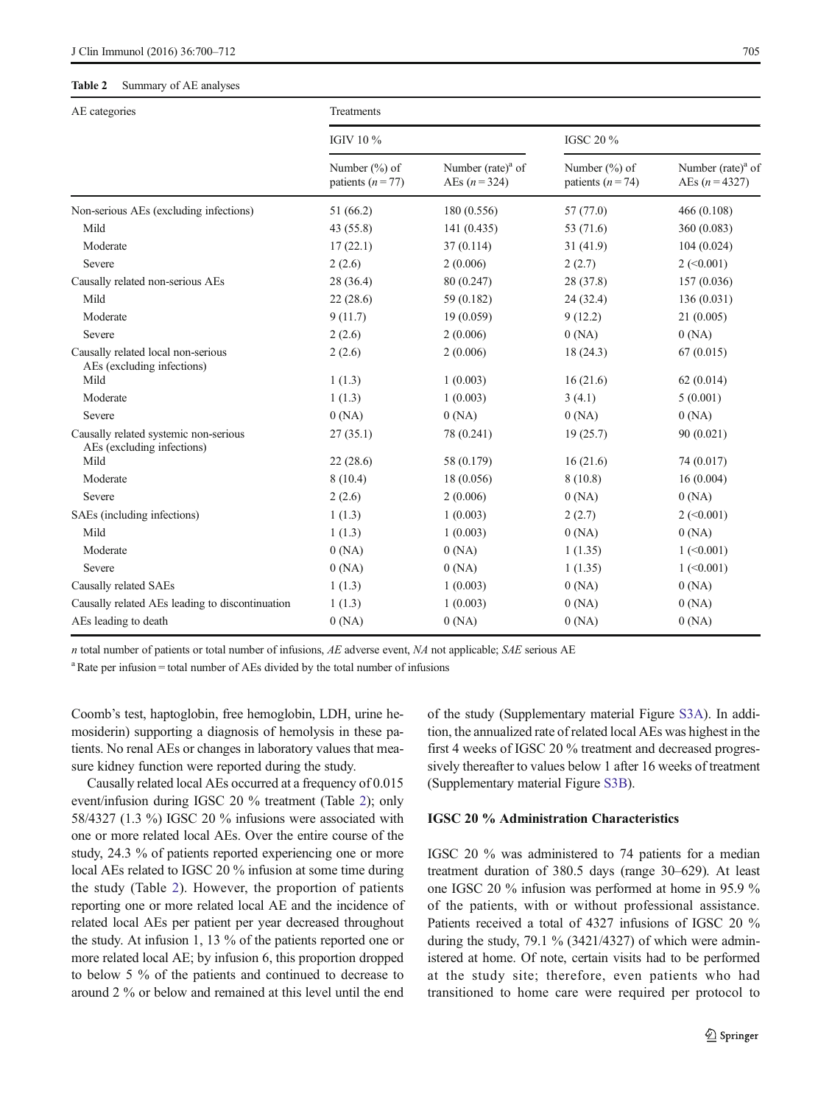#### <span id="page-5-0"></span>Table 2 Summary of AE analyses

| AE categories                                                       | Treatments                              |                                         |                                           |                                        |  |  |
|---------------------------------------------------------------------|-----------------------------------------|-----------------------------------------|-------------------------------------------|----------------------------------------|--|--|
|                                                                     | IGIV 10 %                               |                                         | IGSC 20 %                                 |                                        |  |  |
|                                                                     | Number $(\%)$ of<br>patients $(n = 77)$ | Number (rate) $a$ of<br>AEs $(n = 324)$ | Number $(\%)$ of<br>patients ( $n = 74$ ) | Number $(rate)^a$ of<br>AEs $(n=4327)$ |  |  |
| Non-serious AEs (excluding infections)                              | 51 (66.2)                               | 180 (0.556)                             | 57 (77.0)                                 | 466 (0.108)                            |  |  |
| Mild                                                                | 43 (55.8)                               | 141(0.435)                              | 53 (71.6)                                 | 360 (0.083)                            |  |  |
| Moderate                                                            | 17(22.1)                                | 37(0.114)                               | 31(41.9)                                  | 104(0.024)                             |  |  |
| Severe                                                              | 2(2.6)                                  | 2(0.006)                                | 2(2.7)                                    | $2 \left( \le 0.001 \right)$           |  |  |
| Causally related non-serious AEs                                    | 28 (36.4)                               | 80 (0.247)                              | 28 (37.8)                                 | 157 (0.036)                            |  |  |
| Mild                                                                | 22(28.6)                                | 59 (0.182)                              | 24(32.4)                                  | 136(0.031)                             |  |  |
| Moderate                                                            | 9(11.7)                                 | 19(0.059)                               | 9(12.2)                                   | 21(0.005)                              |  |  |
| Severe                                                              | 2(2.6)                                  | 2(0.006)                                | 0(NA)                                     | 0(NA)                                  |  |  |
| Causally related local non-serious<br>AEs (excluding infections)    | 2(2.6)                                  | 2(0.006)                                | 18(24.3)                                  | 67(0.015)                              |  |  |
| Mild                                                                | 1(1.3)                                  | 1(0.003)                                | 16(21.6)                                  | 62(0.014)                              |  |  |
| Moderate                                                            | 1(1.3)                                  | 1(0.003)                                | 3(4.1)                                    | 5(0.001)                               |  |  |
| Severe                                                              | 0(NA)                                   | 0(NA)                                   | 0(NA)                                     | 0(NA)                                  |  |  |
| Causally related systemic non-serious<br>AEs (excluding infections) | 27(35.1)                                | 78 (0.241)                              | 19(25.7)                                  | 90(0.021)                              |  |  |
| Mild                                                                | 22(28.6)                                | 58 (0.179)                              | 16(21.6)                                  | 74 (0.017)                             |  |  |
| Moderate                                                            | 8(10.4)                                 | 18 (0.056)                              | 8(10.8)                                   | 16(0.004)                              |  |  |
| Severe                                                              | 2(2.6)                                  | 2(0.006)                                | 0(NA)                                     | 0(NA)                                  |  |  |
| SAEs (including infections)                                         | 1(1.3)                                  | 1(0.003)                                | 2(2.7)                                    | $2 \left( \le 0.001 \right)$           |  |  |
| Mild                                                                | 1(1.3)                                  | 1(0.003)                                | 0(NA)                                     | 0(NA)                                  |  |  |
| Moderate                                                            | 0(NA)                                   | 0(NA)                                   | 1(1.35)                                   | $1$ (<0.001)                           |  |  |
| Severe                                                              | 0(NA)                                   | 0(NA)                                   | 1(1.35)                                   | $1$ (<0.001)                           |  |  |
| Causally related SAEs                                               | 1(1.3)                                  | 1(0.003)                                | 0(NA)                                     | 0(NA)                                  |  |  |
| Causally related AEs leading to discontinuation                     | 1(1.3)                                  | 1(0.003)                                | 0(NA)                                     | 0(NA)                                  |  |  |
| AEs leading to death                                                | 0(NA)                                   | 0(NA)                                   | 0(NA)                                     | 0(NA)                                  |  |  |

n total number of patients or total number of infusions, AE adverse event, NA not applicable; SAE serious AE

<sup>a</sup> Rate per infusion = total number of AEs divided by the total number of infusions

Coomb's test, haptoglobin, free hemoglobin, LDH, urine hemosiderin) supporting a diagnosis of hemolysis in these patients. No renal AEs or changes in laboratory values that measure kidney function were reported during the study.

Causally related local AEs occurred at a frequency of 0.015 event/infusion during IGSC 20 % treatment (Table 2); only 58/4327 (1.3 %) IGSC 20 % infusions were associated with one or more related local AEs. Over the entire course of the study, 24.3 % of patients reported experiencing one or more local AEs related to IGSC 20 % infusion at some time during the study (Table 2). However, the proportion of patients reporting one or more related local AE and the incidence of related local AEs per patient per year decreased throughout the study. At infusion 1, 13 % of the patients reported one or more related local AE; by infusion 6, this proportion dropped to below 5 % of the patients and continued to decrease to around 2 % or below and remained at this level until the end of the study (Supplementary material Figure S3A). In addition, the annualized rate of related local AEs was highest in the first 4 weeks of IGSC 20 % treatment and decreased progressively thereafter to values below 1 after 16 weeks of treatment (Supplementary material Figure S3B).

## IGSC 20 % Administration Characteristics

IGSC 20 % was administered to 74 patients for a median treatment duration of 380.5 days (range 30–629). At least one IGSC 20 % infusion was performed at home in 95.9 % of the patients, with or without professional assistance. Patients received a total of 4327 infusions of IGSC 20 % during the study,  $79.1 \%$  (3421/4327) of which were administered at home. Of note, certain visits had to be performed at the study site; therefore, even patients who had transitioned to home care were required per protocol to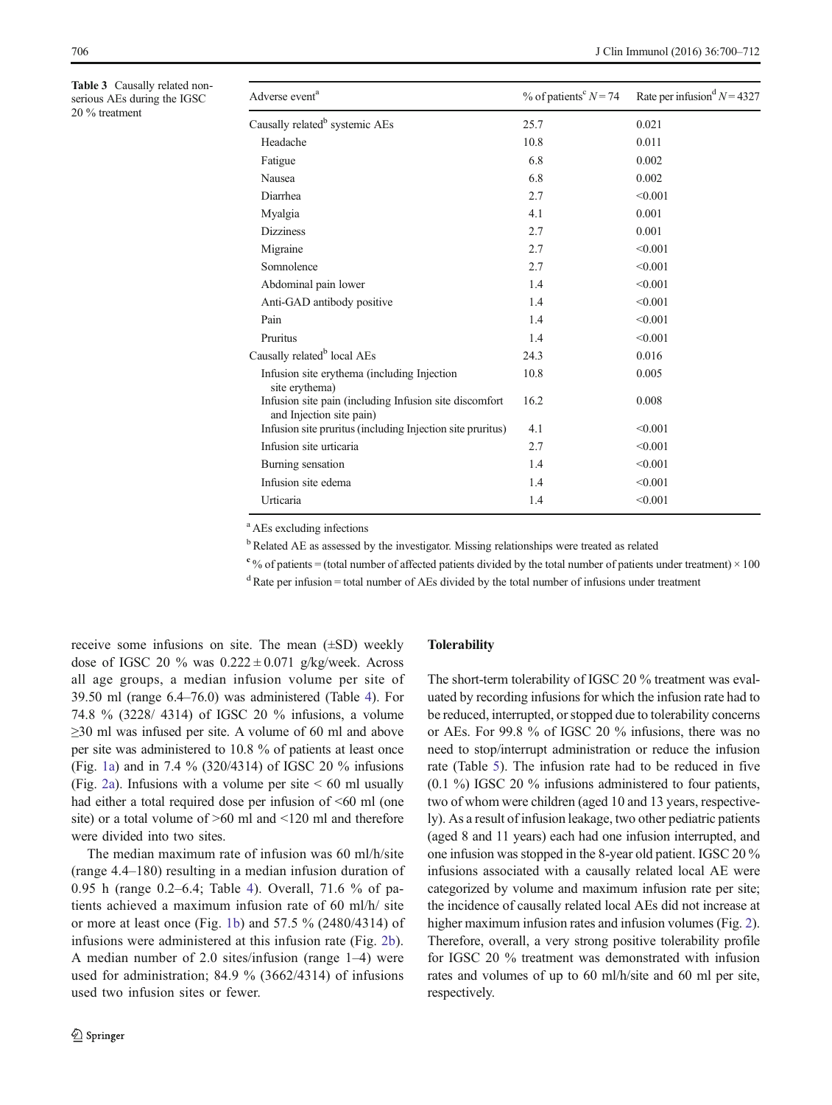<span id="page-6-0"></span>Table 3 Causally related nonserious AEs during the IGSC 20 % treatment

| Adverse event <sup>a</sup>                                                         | % of patients <sup>c</sup> $N = 74$ | Rate per infusion $N = 4327$ |
|------------------------------------------------------------------------------------|-------------------------------------|------------------------------|
| Causally related <sup>b</sup> systemic AEs                                         | 25.7                                | 0.021                        |
| Headache                                                                           | 10.8                                | 0.011                        |
| Fatigue                                                                            | 6.8                                 | 0.002                        |
| <b>Nausea</b>                                                                      | 6.8                                 | 0.002                        |
| Diarrhea                                                                           | 2.7                                 | < 0.001                      |
| Myalgia                                                                            | 4.1                                 | 0.001                        |
| <b>Dizziness</b>                                                                   | 2.7                                 | 0.001                        |
| Migraine                                                                           | 2.7                                 | < 0.001                      |
| Somnolence                                                                         | 2.7                                 | < 0.001                      |
| Abdominal pain lower                                                               | 1.4                                 | < 0.001                      |
| Anti-GAD antibody positive                                                         | 1.4                                 | < 0.001                      |
| Pain                                                                               | 1.4                                 | < 0.001                      |
| Pruritus                                                                           | 1.4                                 | < 0.001                      |
| Causally related <sup>b</sup> local AEs                                            | 24.3                                | 0.016                        |
| Infusion site erythema (including Injection<br>site erythema)                      | 10.8                                | 0.005                        |
| Infusion site pain (including Infusion site discomfort<br>and Injection site pain) | 16.2                                | 0.008                        |
| Infusion site pruritus (including Injection site pruritus)                         | 4.1                                 | < 0.001                      |
| Infusion site urticaria                                                            | 2.7                                 | < 0.001                      |
| Burning sensation                                                                  | 1.4                                 | < 0.001                      |
| Infusion site edema                                                                | 1.4                                 | < 0.001                      |
| Urticaria                                                                          | 1.4                                 | < 0.001                      |

a AEs excluding infections

<sup>b</sup> Related AE as assessed by the investigator. Missing relationships were treated as related

 $c_{\%}$  of patients = (total number of affected patients divided by the total number of patients under treatment) × 100

 $dR$  Rate per infusion = total number of AEs divided by the total number of infusions under treatment

receive some infusions on site. The mean (±SD) weekly dose of IGSC 20 % was  $0.222 \pm 0.071$  g/kg/week. Across all age groups, a median infusion volume per site of 39.50 ml (range 6.4–76.0) was administered (Table [4](#page-7-0)). For 74.8 % (3228/ 4314) of IGSC 20 % infusions, a volume  $\geq$ 30 ml was infused per site. A volume of 60 ml and above per site was administered to 10.8 % of patients at least once (Fig. [1a](#page-8-0)) and in 7.4 % (320/4314) of IGSC 20 % infusions (Fig. [2a](#page-8-0)). Infusions with a volume per site  $\leq 60$  ml usually had either a total required dose per infusion of  $\leq 60$  ml (one site) or a total volume of >60 ml and <120 ml and therefore were divided into two sites.

The median maximum rate of infusion was 60 ml/h/site (range 4.4–180) resulting in a median infusion duration of 0.95 h (range 0.2–6.4; Table [4\)](#page-7-0). Overall, 71.6 % of patients achieved a maximum infusion rate of 60 ml/h/ site or more at least once (Fig. [1b](#page-8-0)) and 57.5 % (2480/4314) of infusions were administered at this infusion rate (Fig. [2b](#page-8-0)). A median number of 2.0 sites/infusion (range 1–4) were used for administration; 84.9 % (3662/4314) of infusions used two infusion sites or fewer.

## **Tolerability**

The short-term tolerability of IGSC 20 % treatment was evaluated by recording infusions for which the infusion rate had to be reduced, interrupted, or stopped due to tolerability concerns or AEs. For 99.8 % of IGSC 20 % infusions, there was no need to stop/interrupt administration or reduce the infusion rate (Table [5\)](#page-9-0). The infusion rate had to be reduced in five  $(0.1 \%)$  IGSC 20 % infusions administered to four patients, two of whom were children (aged 10 and 13 years, respectively). As a result of infusion leakage, two other pediatric patients (aged 8 and 11 years) each had one infusion interrupted, and one infusion was stopped in the 8-year old patient. IGSC 20 % infusions associated with a causally related local AE were categorized by volume and maximum infusion rate per site; the incidence of causally related local AEs did not increase at higher maximum infusion rates and infusion volumes (Fig. [2\)](#page-8-0). Therefore, overall, a very strong positive tolerability profile for IGSC 20 % treatment was demonstrated with infusion rates and volumes of up to 60 ml/h/site and 60 ml per site, respectively.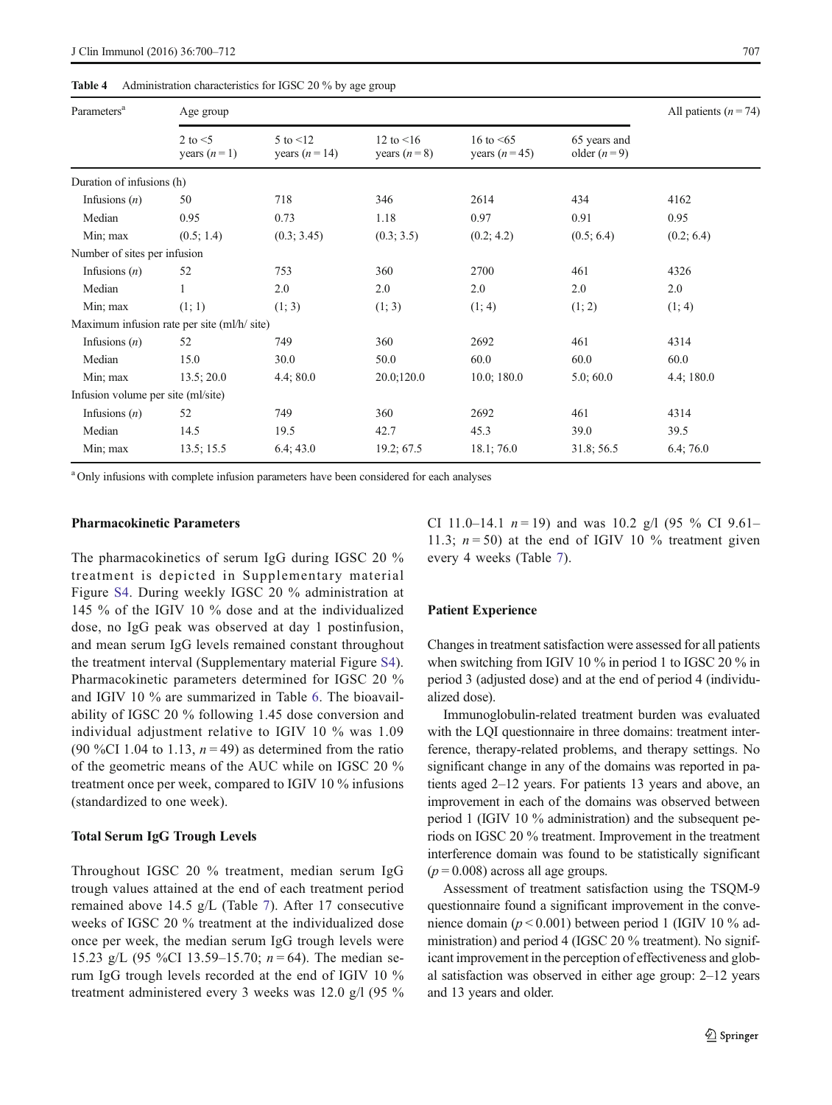#### <span id="page-7-0"></span>Table 4 Administration characteristics for IGSC 20 % by age group

| Parameters <sup>a</sup>            | Age group                                   | All patients $(n = 74)$            |                                  |                                   |                               |            |  |
|------------------------------------|---------------------------------------------|------------------------------------|----------------------------------|-----------------------------------|-------------------------------|------------|--|
|                                    | 2 to $<$ 5<br>years $(n=1)$                 | $5$ to $\leq 12$<br>years $(n=14)$ | 12 to $\leq 16$<br>years $(n=8)$ | 16 to $\leq 65$<br>years $(n=45)$ | 65 years and<br>older $(n=9)$ |            |  |
| Duration of infusions (h)          |                                             |                                    |                                  |                                   |                               |            |  |
| Infusions $(n)$                    | 50                                          | 718                                | 346                              | 2614                              | 434                           | 4162       |  |
| Median                             | 0.95                                        | 0.73                               | 1.18                             | 0.97                              | 0.91                          | 0.95       |  |
| Min; max                           | (0.5; 1.4)                                  | (0.3; 3.45)                        | (0.3; 3.5)                       | (0.2; 4.2)                        | (0.5; 6.4)                    | (0.2; 6.4) |  |
| Number of sites per infusion       |                                             |                                    |                                  |                                   |                               |            |  |
| Infusions $(n)$                    | 52                                          | 753                                | 360                              | 2700                              | 461                           | 4326       |  |
| Median                             |                                             | 2.0                                | 2.0                              | 2.0                               | 2.0                           | 2.0        |  |
| Min; max                           | (1; 1)                                      | (1; 3)                             | (1; 3)                           | (1; 4)                            | (1; 2)                        | (1; 4)     |  |
|                                    | Maximum infusion rate per site (ml/h/ site) |                                    |                                  |                                   |                               |            |  |
| Infusions $(n)$                    | 52                                          | 749                                | 360                              | 2692                              | 461                           | 4314       |  |
| Median                             | 15.0                                        | 30.0                               | 50.0                             | 60.0                              | 60.0                          | 60.0       |  |
| Min; max                           | 13.5; 20.0                                  | 4.4;80.0                           | 20.0;120.0                       | 10.0; 180.0                       | 5.0; 60.0                     | 4.4;180.0  |  |
| Infusion volume per site (ml/site) |                                             |                                    |                                  |                                   |                               |            |  |
| Infusions $(n)$                    | 52                                          | 749                                | 360                              | 2692                              | 461                           | 4314       |  |
| Median                             | 14.5                                        | 19.5                               | 42.7                             | 45.3                              | 39.0                          | 39.5       |  |
| Min; max                           | 13.5; 15.5                                  | 6.4; 43.0                          | 19.2; 67.5                       | 18.1;76.0                         | 31.8; 56.5                    | 6.4;76.0   |  |

<sup>a</sup> Only infusions with complete infusion parameters have been considered for each analyses

## Pharmacokinetic Parameters

The pharmacokinetics of serum IgG during IGSC 20 % treatment is depicted in Supplementary material Figure S4. During weekly IGSC 20 % administration at 145 % of the IGIV 10 % dose and at the individualized dose, no IgG peak was observed at day 1 postinfusion, and mean serum IgG levels remained constant throughout the treatment interval (Supplementary material Figure S4). Pharmacokinetic parameters determined for IGSC 20 % and IGIV 10 % are summarized in Table [6](#page-9-0). The bioavailability of IGSC 20 % following 1.45 dose conversion and individual adjustment relative to IGIV 10 % was 1.09 (90 %CI 1.04 to 1.13,  $n = 49$ ) as determined from the ratio of the geometric means of the AUC while on IGSC 20 % treatment once per week, compared to IGIV 10 % infusions (standardized to one week).

## Total Serum IgG Trough Levels

Throughout IGSC 20 % treatment, median serum IgG trough values attained at the end of each treatment period remained above 14.5 g/L (Table [7](#page-10-0)). After 17 consecutive weeks of IGSC 20 % treatment at the individualized dose once per week, the median serum IgG trough levels were 15.23 g/L (95 %CI 13.59–15.70;  $n = 64$ ). The median serum IgG trough levels recorded at the end of IGIV 10 % treatment administered every 3 weeks was 12.0 g/l (95 % CI 11.0–14.1  $n = 19$ ) and was 10.2 g/l (95 % CI 9.61– 11.3;  $n = 50$ ) at the end of IGIV 10 % treatment given every 4 weeks (Table [7\)](#page-10-0).

#### Patient Experience

Changes in treatment satisfaction were assessed for all patients when switching from IGIV 10 % in period 1 to IGSC 20 % in period 3 (adjusted dose) and at the end of period 4 (individualized dose).

Immunoglobulin-related treatment burden was evaluated with the LQI questionnaire in three domains: treatment interference, therapy-related problems, and therapy settings. No significant change in any of the domains was reported in patients aged 2–12 years. For patients 13 years and above, an improvement in each of the domains was observed between period 1 (IGIV 10 % administration) and the subsequent periods on IGSC 20 % treatment. Improvement in the treatment interference domain was found to be statistically significant  $(p = 0.008)$  across all age groups.

Assessment of treatment satisfaction using the TSQM-9 questionnaire found a significant improvement in the convenience domain ( $p < 0.001$ ) between period 1 (IGIV 10 % administration) and period 4 (IGSC 20 % treatment). No significant improvement in the perception of effectiveness and global satisfaction was observed in either age group: 2–12 years and 13 years and older.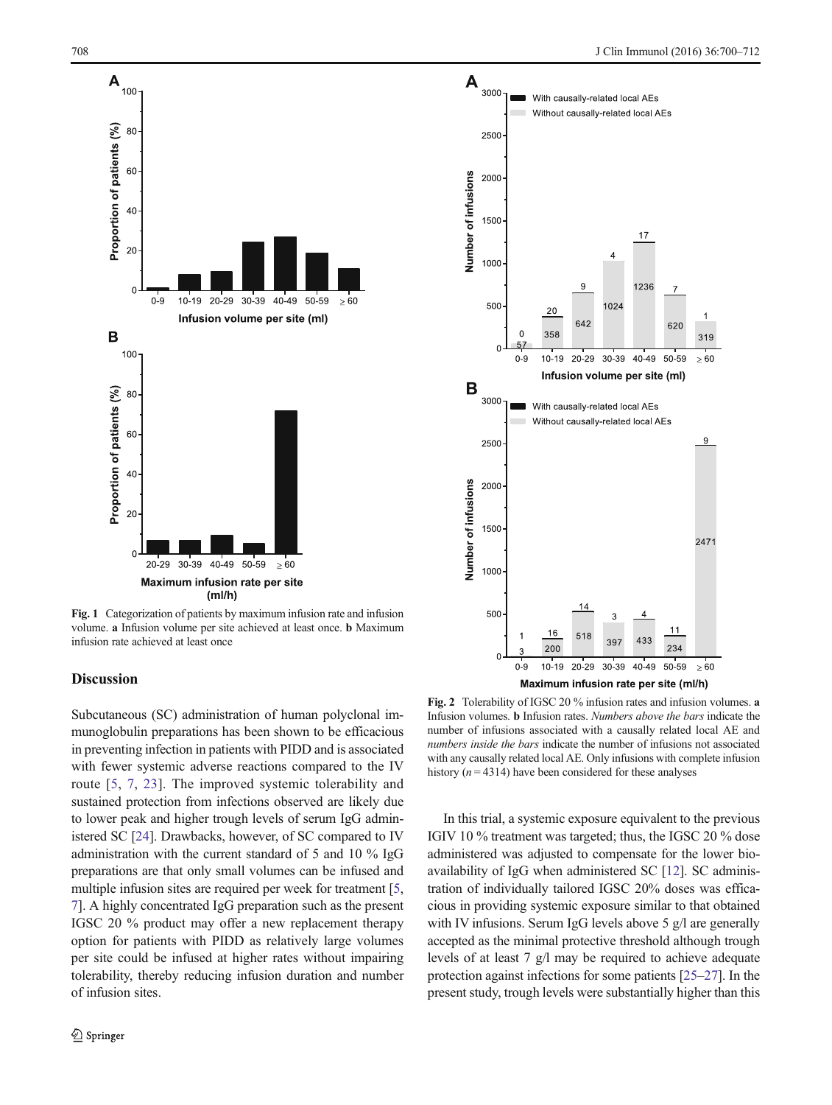<span id="page-8-0"></span>

Fig. 1 Categorization of patients by maximum infusion rate and infusion volume. a Infusion volume per site achieved at least once. b Maximum infusion rate achieved at least once

# Discussion

Subcutaneous (SC) administration of human polyclonal immunoglobulin preparations has been shown to be efficacious in preventing infection in patients with PIDD and is associated with fewer systemic adverse reactions compared to the IV route [\[5,](#page-11-0) [7](#page-11-0), [23](#page-12-0)]. The improved systemic tolerability and sustained protection from infections observed are likely due to lower peak and higher trough levels of serum IgG administered SC [\[24\]](#page-12-0). Drawbacks, however, of SC compared to IV administration with the current standard of 5 and 10 % IgG preparations are that only small volumes can be infused and multiple infusion sites are required per week for treatment [[5,](#page-11-0) [7\]](#page-11-0). A highly concentrated IgG preparation such as the present IGSC 20 % product may offer a new replacement therapy option for patients with PIDD as relatively large volumes per site could be infused at higher rates without impairing tolerability, thereby reducing infusion duration and number of infusion sites.



Fig. 2 Tolerability of IGSC 20 % infusion rates and infusion volumes. a Infusion volumes. b Infusion rates. Numbers above the bars indicate the number of infusions associated with a causally related local AE and numbers inside the bars indicate the number of infusions not associated with any causally related local AE. Only infusions with complete infusion history ( $n = 4314$ ) have been considered for these analyses

In this trial, a systemic exposure equivalent to the previous IGIV 10 % treatment was targeted; thus, the IGSC 20 % dose administered was adjusted to compensate for the lower bioavailability of IgG when administered SC [\[12\]](#page-11-0). SC administration of individually tailored IGSC 20% doses was efficacious in providing systemic exposure similar to that obtained with IV infusions. Serum IgG levels above 5 g/l are generally accepted as the minimal protective threshold although trough levels of at least 7 g/l may be required to achieve adequate protection against infections for some patients [[25](#page-12-0)–[27\]](#page-12-0). In the present study, trough levels were substantially higher than this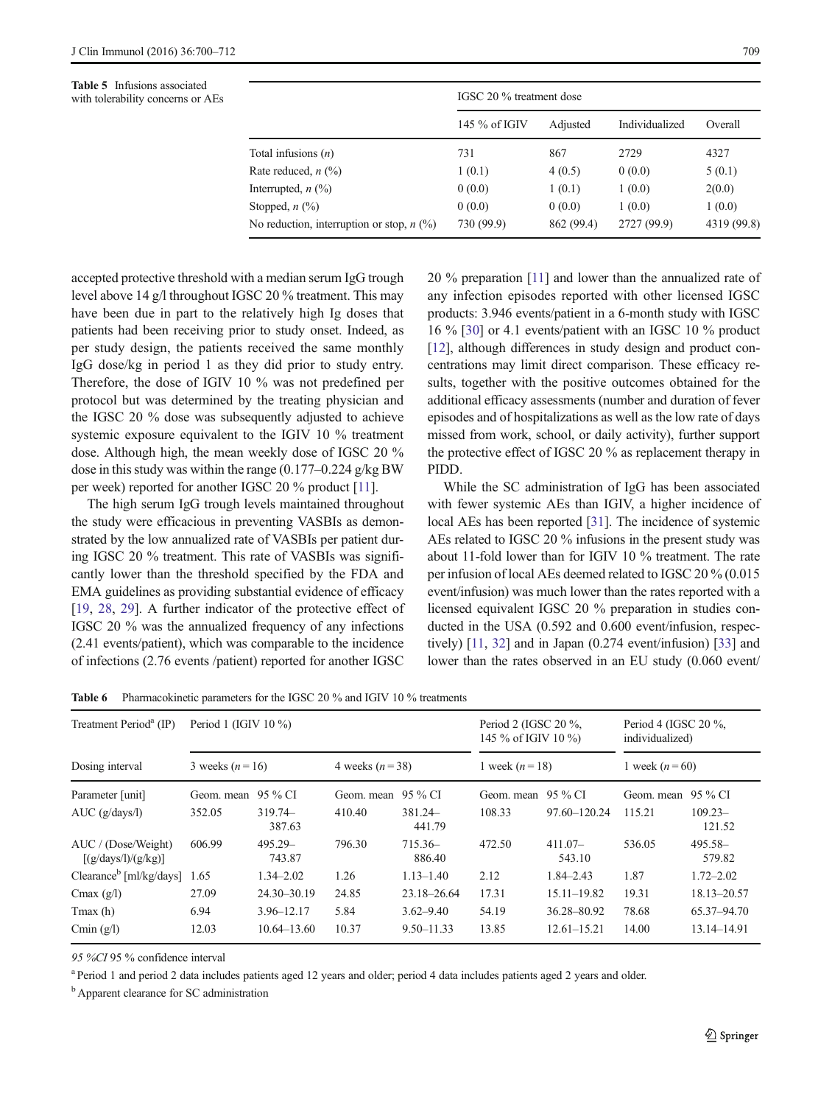<span id="page-9-0"></span>Table 5 Infusions associated with tolerability concerns or AEs

|                                                      | IGSC 20 % treatment dose |            |                |             |  |
|------------------------------------------------------|--------------------------|------------|----------------|-------------|--|
|                                                      | 145 % of IGIV            | Adjusted   | Individualized | Overall     |  |
| Total infusions $(n)$                                | 731                      | 867        | 2729           | 4327        |  |
| Rate reduced, $n$ $\left(\frac{9}{0}\right)$         | 1(0.1)                   | 4(0.5)     | 0(0.0)         | 5(0.1)      |  |
| Interrupted, $n$ $\left(\frac{9}{0}\right)$          | 0(0.0)                   | 1(0.1)     | 1(0.0)         | 2(0.0)      |  |
| Stopped, $n$ $(\%)$                                  | 0(0.0)                   | 0(0.0)     | 1(0.0)         | 1(0.0)      |  |
| No reduction, interruption or stop, $n \binom{0}{0}$ | 730 (99.9)               | 862 (99.4) | 2727 (99.9)    | 4319 (99.8) |  |

accepted protective threshold with a median serum IgG trough level above 14 g/l throughout IGSC 20 % treatment. This may have been due in part to the relatively high Ig doses that patients had been receiving prior to study onset. Indeed, as per study design, the patients received the same monthly IgG dose/kg in period 1 as they did prior to study entry. Therefore, the dose of IGIV 10 % was not predefined per protocol but was determined by the treating physician and the IGSC 20 % dose was subsequently adjusted to achieve systemic exposure equivalent to the IGIV 10 % treatment dose. Although high, the mean weekly dose of IGSC 20 % dose in this study was within the range (0.177–0.224 g/kg BW per week) reported for another IGSC 20 % product [\[11](#page-11-0)].

The high serum IgG trough levels maintained throughout the study were efficacious in preventing VASBIs as demonstrated by the low annualized rate of VASBIs per patient during IGSC 20 % treatment. This rate of VASBIs was significantly lower than the threshold specified by the FDA and EMA guidelines as providing substantial evidence of efficacy [\[19](#page-11-0), [28](#page-12-0), [29](#page-12-0)]. A further indicator of the protective effect of IGSC 20 % was the annualized frequency of any infections (2.41 events/patient), which was comparable to the incidence of infections (2.76 events /patient) reported for another IGSC 20 % preparation [[11](#page-11-0)] and lower than the annualized rate of any infection episodes reported with other licensed IGSC products: 3.946 events/patient in a 6-month study with IGSC 16 % [\[30](#page-12-0)] or 4.1 events/patient with an IGSC 10 % product [\[12](#page-11-0)], although differences in study design and product concentrations may limit direct comparison. These efficacy results, together with the positive outcomes obtained for the additional efficacy assessments (number and duration of fever episodes and of hospitalizations as well as the low rate of days missed from work, school, or daily activity), further support the protective effect of IGSC 20 % as replacement therapy in PIDD.

While the SC administration of IgG has been associated with fewer systemic AEs than IGIV, a higher incidence of local AEs has been reported [\[31\]](#page-12-0). The incidence of systemic AEs related to IGSC 20 % infusions in the present study was about 11-fold lower than for IGIV 10 % treatment. The rate per infusion of local AEs deemed related to IGSC 20 % (0.015 event/infusion) was much lower than the rates reported with a licensed equivalent IGSC 20 % preparation in studies conducted in the USA (0.592 and 0.600 event/infusion, respectively) [\[11,](#page-11-0) [32](#page-12-0)] and in Japan (0.274 event/infusion) [\[33\]](#page-12-0) and lower than the rates observed in an EU study (0.060 event/

Table 6 Pharmacokinetic parameters for the IGSC 20 % and IGIV 10 % treatments

| Treatment Period <sup>a</sup> (IP)         | Period 1 (IGIV $10\%$ ) |                     |                  |                     | Period 2 (IGSC 20 %,<br>145 % of IGIV 10 %) |                     | Period 4 (IGSC 20 $\%$ ,<br>individualized) |                      |
|--------------------------------------------|-------------------------|---------------------|------------------|---------------------|---------------------------------------------|---------------------|---------------------------------------------|----------------------|
| Dosing interval                            | 3 weeks $(n=16)$        |                     | 4 weeks $(n=38)$ |                     | 1 week ( $n = 18$ )                         |                     | 1 week $(n = 60)$                           |                      |
| Parameter [unit]                           | Geom. mean              | 95 % CI             | Geom. mean       | 95 % CI             | Geom. mean                                  | 95 % CI             | Geom. mean                                  | 95 % CI              |
| $AUC$ (g/days/l)                           | 352.05                  | $319.74-$<br>387.63 | 410.40           | 381.24<br>441.79    | 108.33                                      | $97.60 - 120.24$    | 115.21                                      | $109.23 -$<br>121.52 |
| AUC / (Dose/Weight)<br>[(g/days/l)/(g/kg)] | 606.99                  | 495.29-<br>743.87   | 796.30           | $715.36-$<br>886.40 | 472.50                                      | $411.07-$<br>543.10 | 536.05                                      | $495.58 -$<br>579.82 |
| Clearance <sup>b</sup> [ml/kg/days]        | 1.65                    | 1.34–2.02           | 1.26             | $1.13 - 1.40$       | 2.12                                        | $1.84 - 2.43$       | 1.87                                        | $1.72 - 2.02$        |
| Cmax $(g/l)$                               | 27.09                   | 24.30-30.19         | 24.85            | 23.18-26.64         | 17.31                                       | $15.11 - 19.82$     | 19.31                                       | 18.13-20.57          |
| $T$ max $(h)$                              | 6.94                    | $3.96 - 12.17$      | 5.84             | $3.62 - 9.40$       | 54.19                                       | 36.28-80.92         | 78.68                                       | 65.37-94.70          |
| Cmin $(g/l)$                               | 12.03                   | $10.64 - 13.60$     | 10.37            | $9.50 - 11.33$      | 13.85                                       | $12.61 - 15.21$     | 14.00                                       | 13.14–14.91          |

95 %CI 95 % confidence interval

<sup>a</sup> Period 1 and period 2 data includes patients aged 12 years and older; period 4 data includes patients aged 2 years and older.

<sup>b</sup> Apparent clearance for SC administration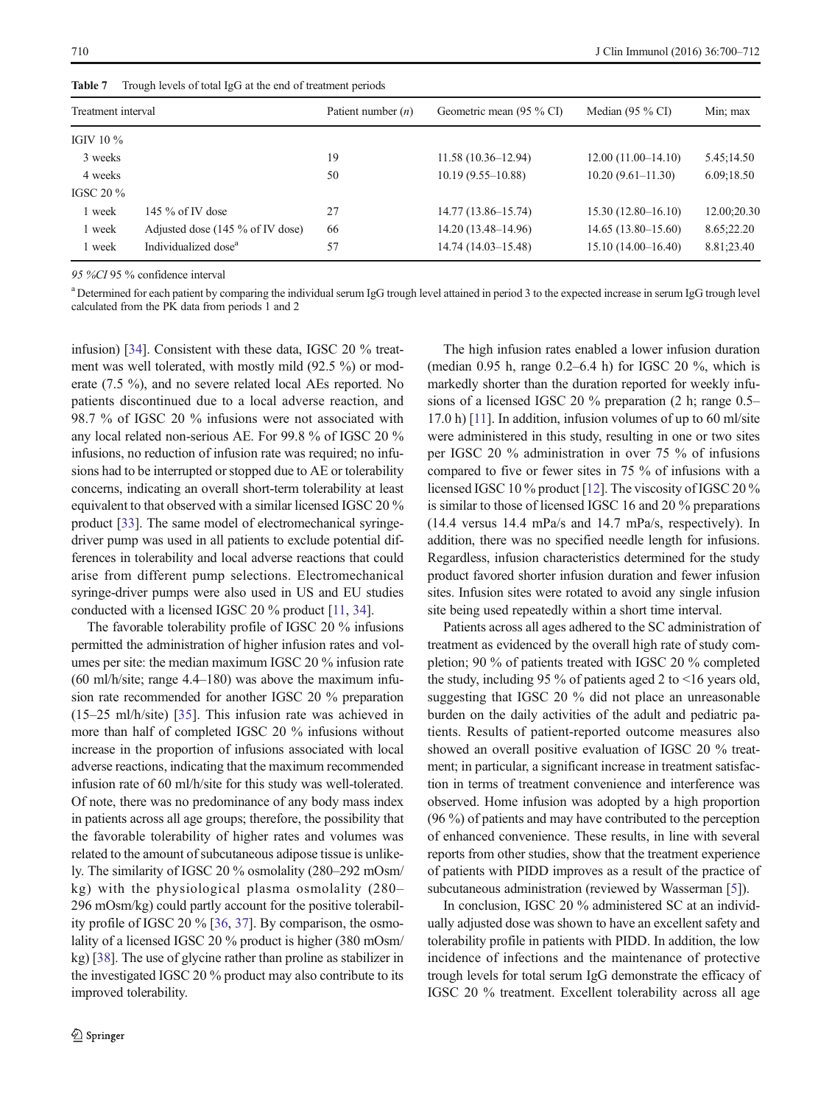| Treatment interval |                                            | Patient number $(n)$ | Geometric mean (95 % CI) | Median $(95\% \text{ CI})$ | Min; max    |  |
|--------------------|--------------------------------------------|----------------------|--------------------------|----------------------------|-------------|--|
| IGIV 10 $\%$       |                                            |                      |                          |                            |             |  |
| 3 weeks            |                                            | 19                   | $11.58(10.36-12.94)$     | $12.00(11.00-14.10)$       | 5.45;14.50  |  |
| 4 weeks            |                                            | 50                   | $10.19(9.55 - 10.88)$    | $10.20(9.61-11.30)$        | 6.09:18.50  |  |
| IGSC 20 $\%$       |                                            |                      |                          |                            |             |  |
| 1 week             | 145 $\%$ of IV dose                        | 27                   | $14.77(13.86 - 15.74)$   | $15.30(12.80 - 16.10)$     | 12.00;20.30 |  |
| 1 week             | Adjusted dose $(145\% \text{ of IV dose})$ | 66                   | 14.20 (13.48–14.96)      | $14.65(13.80-15.60)$       | 8.65;22.20  |  |
| 1 week             | Individualized dose <sup>a</sup>           | 57                   | $14.74(14.03-15.48)$     | $15.10(14.00-16.40)$       | 8.81;23.40  |  |

<span id="page-10-0"></span>Table 7 Trough levels of total IgG at the end of treatment periods

95 %CI 95 % confidence interval

<sup>a</sup> Determined for each patient by comparing the individual serum IgG trough level attained in period 3 to the expected increase in serum IgG trough level calculated from the PK data from periods 1 and 2

infusion) [\[34\]](#page-12-0). Consistent with these data, IGSC 20 % treatment was well tolerated, with mostly mild (92.5 %) or moderate (7.5 %), and no severe related local AEs reported. No patients discontinued due to a local adverse reaction, and 98.7 % of IGSC 20 % infusions were not associated with any local related non-serious AE. For 99.8 % of IGSC 20 % infusions, no reduction of infusion rate was required; no infusions had to be interrupted or stopped due to AE or tolerability concerns, indicating an overall short-term tolerability at least equivalent to that observed with a similar licensed IGSC 20 % product [[33\]](#page-12-0). The same model of electromechanical syringedriver pump was used in all patients to exclude potential differences in tolerability and local adverse reactions that could arise from different pump selections. Electromechanical syringe-driver pumps were also used in US and EU studies conducted with a licensed IGSC 20 % product [\[11,](#page-11-0) [34](#page-12-0)].

The favorable tolerability profile of IGSC 20 % infusions permitted the administration of higher infusion rates and volumes per site: the median maximum IGSC 20 % infusion rate  $(60 \text{ ml/h} / \text{site}$ ; range 4.4–180) was above the maximum infusion rate recommended for another IGSC 20 % preparation (15–25 ml/h/site) [[35\]](#page-12-0). This infusion rate was achieved in more than half of completed IGSC 20 % infusions without increase in the proportion of infusions associated with local adverse reactions, indicating that the maximum recommended infusion rate of 60 ml/h/site for this study was well-tolerated. Of note, there was no predominance of any body mass index in patients across all age groups; therefore, the possibility that the favorable tolerability of higher rates and volumes was related to the amount of subcutaneous adipose tissue is unlikely. The similarity of IGSC 20 % osmolality (280–292 mOsm/ kg) with the physiological plasma osmolality (280– 296 mOsm/kg) could partly account for the positive tolerability profile of IGSC 20 % [\[36](#page-12-0), [37](#page-12-0)]. By comparison, the osmolality of a licensed IGSC 20 % product is higher (380 mOsm/ kg) [\[38](#page-12-0)]. The use of glycine rather than proline as stabilizer in the investigated IGSC 20 % product may also contribute to its improved tolerability.

The high infusion rates enabled a lower infusion duration (median 0.95 h, range 0.2–6.4 h) for IGSC 20 %, which is markedly shorter than the duration reported for weekly infusions of a licensed IGSC 20 % preparation (2 h; range 0.5– 17.0 h) [\[11\]](#page-11-0). In addition, infusion volumes of up to 60 ml/site were administered in this study, resulting in one or two sites per IGSC 20 % administration in over 75 % of infusions compared to five or fewer sites in 75 % of infusions with a licensed IGSC 10 % product [\[12\]](#page-11-0). The viscosity of IGSC 20 % is similar to those of licensed IGSC 16 and 20 % preparations (14.4 versus 14.4 mPa/s and 14.7 mPa/s, respectively). In addition, there was no specified needle length for infusions. Regardless, infusion characteristics determined for the study product favored shorter infusion duration and fewer infusion sites. Infusion sites were rotated to avoid any single infusion site being used repeatedly within a short time interval.

Patients across all ages adhered to the SC administration of treatment as evidenced by the overall high rate of study completion; 90 % of patients treated with IGSC 20 % completed the study, including 95 % of patients aged 2 to <16 years old, suggesting that IGSC 20 % did not place an unreasonable burden on the daily activities of the adult and pediatric patients. Results of patient-reported outcome measures also showed an overall positive evaluation of IGSC 20 % treatment; in particular, a significant increase in treatment satisfaction in terms of treatment convenience and interference was observed. Home infusion was adopted by a high proportion (96 %) of patients and may have contributed to the perception of enhanced convenience. These results, in line with several reports from other studies, show that the treatment experience of patients with PIDD improves as a result of the practice of subcutaneous administration (reviewed by Wasserman [\[5](#page-11-0)]).

In conclusion, IGSC 20 % administered SC at an individually adjusted dose was shown to have an excellent safety and tolerability profile in patients with PIDD. In addition, the low incidence of infections and the maintenance of protective trough levels for total serum IgG demonstrate the efficacy of IGSC 20 % treatment. Excellent tolerability across all age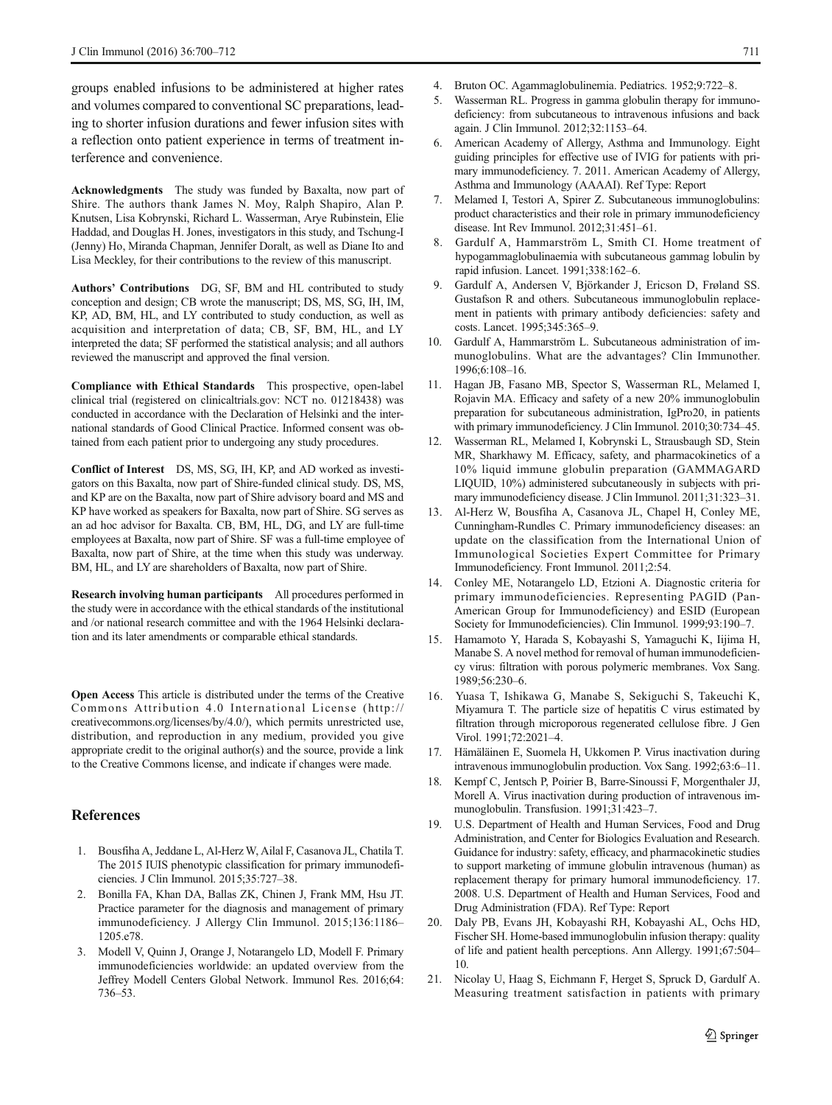<span id="page-11-0"></span>groups enabled infusions to be administered at higher rates and volumes compared to conventional SC preparations, leading to shorter infusion durations and fewer infusion sites with a reflection onto patient experience in terms of treatment interference and convenience.

Acknowledgments The study was funded by Baxalta, now part of Shire. The authors thank James N. Moy, Ralph Shapiro, Alan P. Knutsen, Lisa Kobrynski, Richard L. Wasserman, Arye Rubinstein, Elie Haddad, and Douglas H. Jones, investigators in this study, and Tschung-I (Jenny) Ho, Miranda Chapman, Jennifer Doralt, as well as Diane Ito and Lisa Meckley, for their contributions to the review of this manuscript.

Authors' Contributions DG, SF, BM and HL contributed to study conception and design; CB wrote the manuscript; DS, MS, SG, IH, IM, KP, AD, BM, HL, and LY contributed to study conduction, as well as acquisition and interpretation of data; CB, SF, BM, HL, and LY interpreted the data; SF performed the statistical analysis; and all authors reviewed the manuscript and approved the final version.

Compliance with Ethical Standards This prospective, open-label clinical trial (registered on clinicaltrials.gov: NCT no. 01218438) was conducted in accordance with the Declaration of Helsinki and the international standards of Good Clinical Practice. Informed consent was obtained from each patient prior to undergoing any study procedures.

Conflict of Interest DS, MS, SG, IH, KP, and AD worked as investigators on this Baxalta, now part of Shire-funded clinical study. DS, MS, and KP are on the Baxalta, now part of Shire advisory board and MS and KP have worked as speakers for Baxalta, now part of Shire. SG serves as an ad hoc advisor for Baxalta. CB, BM, HL, DG, and LY are full-time employees at Baxalta, now part of Shire. SF was a full-time employee of Baxalta, now part of Shire, at the time when this study was underway. BM, HL, and LY are shareholders of Baxalta, now part of Shire.

Research involving human participants All procedures performed in the study were in accordance with the ethical standards of the institutional and /or national research committee and with the 1964 Helsinki declaration and its later amendments or comparable ethical standards.

Open Access This article is distributed under the terms of the Creative Commons Attribution 4.0 International License (http:// creativecommons.org/licenses/by/4.0/), which permits unrestricted use, distribution, and reproduction in any medium, provided you give appropriate credit to the original author(s) and the source, provide a link to the Creative Commons license, and indicate if changes were made.

## References

- 1. Bousfiha A, Jeddane L, Al-Herz W, Ailal F, Casanova JL, Chatila T. The 2015 IUIS phenotypic classification for primary immunodeficiencies. J Clin Immunol. 2015;35:727–38.
- 2. Bonilla FA, Khan DA, Ballas ZK, Chinen J, Frank MM, Hsu JT. Practice parameter for the diagnosis and management of primary immunodeficiency. J Allergy Clin Immunol. 2015;136:1186– 1205.e78.
- 3. Modell V, Quinn J, Orange J, Notarangelo LD, Modell F. Primary immunodeficiencies worldwide: an updated overview from the Jeffrey Modell Centers Global Network. Immunol Res. 2016;64: 736–53.
- 4. Bruton OC. Agammaglobulinemia. Pediatrics. 1952;9:722–8.
- Wasserman RL. Progress in gamma globulin therapy for immunodeficiency: from subcutaneous to intravenous infusions and back again. J Clin Immunol. 2012;32:1153–64.
- 6. American Academy of Allergy, Asthma and Immunology. Eight guiding principles for effective use of IVIG for patients with primary immunodeficiency. 7. 2011. American Academy of Allergy, Asthma and Immunology (AAAAI). Ref Type: Report
- 7. Melamed I, Testori A, Spirer Z. Subcutaneous immunoglobulins: product characteristics and their role in primary immunodeficiency disease. Int Rev Immunol. 2012;31:451–61.
- 8. Gardulf A, Hammarström L, Smith CI. Home treatment of hypogammaglobulinaemia with subcutaneous gammag lobulin by rapid infusion. Lancet. 1991;338:162–6.
- 9. Gardulf A, Andersen V, Björkander J, Ericson D, Frøland SS. Gustafson R and others. Subcutaneous immunoglobulin replacement in patients with primary antibody deficiencies: safety and costs. Lancet. 1995;345:365–9.
- 10. Gardulf A, Hammarström L. Subcutaneous administration of immunoglobulins. What are the advantages? Clin Immunother. 1996;6:108–16.
- 11. Hagan JB, Fasano MB, Spector S, Wasserman RL, Melamed I, Rojavin MA. Efficacy and safety of a new 20% immunoglobulin preparation for subcutaneous administration, IgPro20, in patients with primary immunodeficiency. J Clin Immunol. 2010;30:734–45.
- 12. Wasserman RL, Melamed I, Kobrynski L, Strausbaugh SD, Stein MR, Sharkhawy M. Efficacy, safety, and pharmacokinetics of a 10% liquid immune globulin preparation (GAMMAGARD LIQUID, 10%) administered subcutaneously in subjects with primary immunodeficiency disease. J Clin Immunol. 2011;31:323–31.
- 13. Al-Herz W, Bousfiha A, Casanova JL, Chapel H, Conley ME, Cunningham-Rundles C. Primary immunodeficiency diseases: an update on the classification from the International Union of Immunological Societies Expert Committee for Primary Immunodeficiency. Front Immunol. 2011;2:54.
- 14. Conley ME, Notarangelo LD, Etzioni A. Diagnostic criteria for primary immunodeficiencies. Representing PAGID (Pan-American Group for Immunodeficiency) and ESID (European Society for Immunodeficiencies). Clin Immunol. 1999;93:190–7.
- 15. Hamamoto Y, Harada S, Kobayashi S, Yamaguchi K, Iijima H, Manabe S. A novel method for removal of human immunodeficiency virus: filtration with porous polymeric membranes. Vox Sang. 1989;56:230–6.
- 16. Yuasa T, Ishikawa G, Manabe S, Sekiguchi S, Takeuchi K, Miyamura T. The particle size of hepatitis C virus estimated by filtration through microporous regenerated cellulose fibre. J Gen Virol. 1991;72:2021–4.
- 17. Hämäläinen E, Suomela H, Ukkomen P. Virus inactivation during intravenous immunoglobulin production. Vox Sang. 1992;63:6–11.
- 18. Kempf C, Jentsch P, Poirier B, Barre-Sinoussi F, Morgenthaler JJ, Morell A. Virus inactivation during production of intravenous immunoglobulin. Transfusion. 1991;31:423–7.
- 19. U.S. Department of Health and Human Services, Food and Drug Administration, and Center for Biologics Evaluation and Research. Guidance for industry: safety, efficacy, and pharmacokinetic studies to support marketing of immune globulin intravenous (human) as replacement therapy for primary humoral immunodeficiency. 17. 2008. U.S. Department of Health and Human Services, Food and Drug Administration (FDA). Ref Type: Report
- 20. Daly PB, Evans JH, Kobayashi RH, Kobayashi AL, Ochs HD, Fischer SH. Home-based immunoglobulin infusion therapy: quality of life and patient health perceptions. Ann Allergy. 1991;67:504– 10.
- 21. Nicolay U, Haag S, Eichmann F, Herget S, Spruck D, Gardulf A. Measuring treatment satisfaction in patients with primary